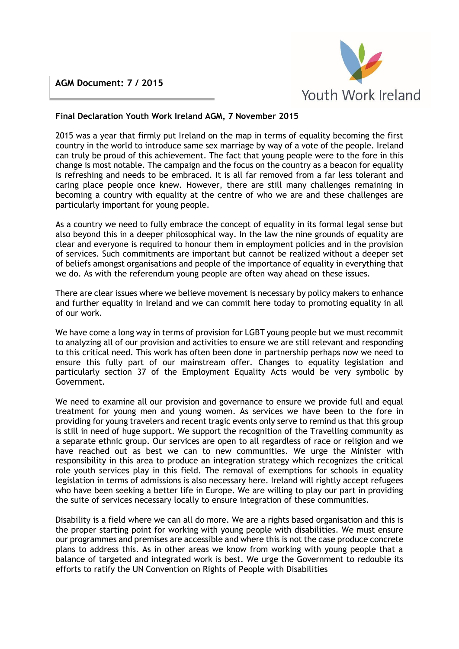## **AGM Document: 7 / 2015**



## **Final Declaration Youth Work Ireland AGM, 7 November 2015**

2015 was a year that firmly put Ireland on the map in terms of equality becoming the first country in the world to introduce same sex marriage by way of a vote of the people. Ireland can truly be proud of this achievement. The fact that young people were to the fore in this change is most notable. The campaign and the focus on the country as a beacon for equality is refreshing and needs to be embraced. It is all far removed from a far less tolerant and caring place people once knew. However, there are still many challenges remaining in becoming a country with equality at the centre of who we are and these challenges are particularly important for young people.

As a country we need to fully embrace the concept of equality in its formal legal sense but also beyond this in a deeper philosophical way. In the law the nine grounds of equality are clear and everyone is required to honour them in employment policies and in the provision of services. Such commitments are important but cannot be realized without a deeper set of beliefs amongst organisations and people of the importance of equality in everything that we do. As with the referendum young people are often way ahead on these issues.

There are clear issues where we believe movement is necessary by policy makers to enhance and further equality in Ireland and we can commit here today to promoting equality in all of our work.

We have come a long way in terms of provision for LGBT young people but we must recommit to analyzing all of our provision and activities to ensure we are still relevant and responding to this critical need. This work has often been done in partnership perhaps now we need to ensure this fully part of our mainstream offer. Changes to equality legislation and particularly section 37 of the Employment Equality Acts would be very symbolic by Government.

We need to examine all our provision and governance to ensure we provide full and equal treatment for young men and young women. As services we have been to the fore in providing for young travelers and recent tragic events only serve to remind us that this group is still in need of huge support. We support the recognition of the Travelling community as a separate ethnic group. Our services are open to all regardless of race or religion and we have reached out as best we can to new communities. We urge the Minister with responsibility in this area to produce an integration strategy which recognizes the critical role youth services play in this field. The removal of exemptions for schools in equality legislation in terms of admissions is also necessary here. Ireland will rightly accept refugees who have been seeking a better life in Europe. We are willing to play our part in providing the suite of services necessary locally to ensure integration of these communities.

Disability is a field where we can all do more. We are a rights based organisation and this is the proper starting point for working with young people with disabilities. We must ensure our programmes and premises are accessible and where this is not the case produce concrete plans to address this. As in other areas we know from working with young people that a balance of targeted and integrated work is best. We urge the Government to redouble its efforts to ratify the UN Convention on Rights of People with Disabilities